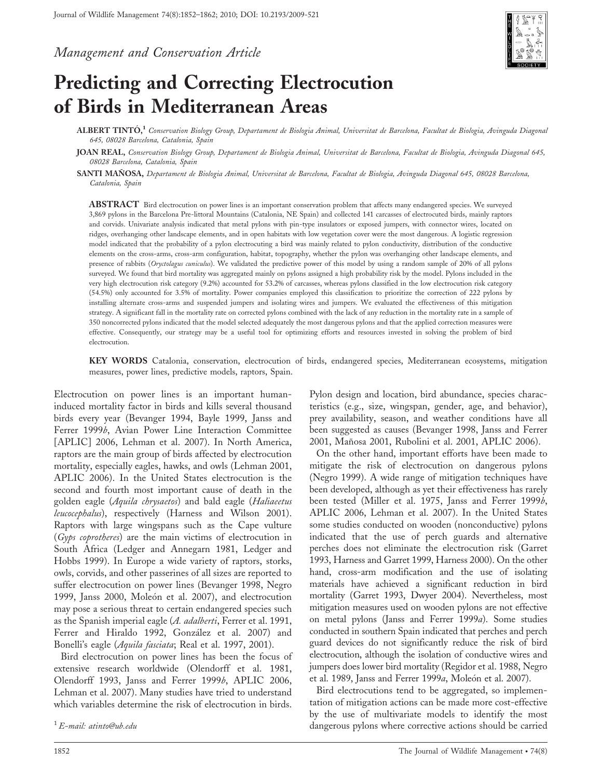Management and Conservation Article



# Predicting and Correcting Electrocution of Birds in Mediterranean Areas

 ${\rm ALBERT~TINT\'O,}^1$  Conservation Biology Group, Departament de Biologia Animal, Universitat de Barcelona, Facultat de Biologia, Avinguda Diagonal 645, 08028 Barcelona, Catalonia, Spain

JOAN REAL, Conservation Biology Group, Departament de Biologia Animal, Universitat de Barcelona, Facultat de Biologia, Avinguda Diagonal 645, 08028 Barcelona, Catalonia, Spain

SANTI MAÑOSA, Departament de Biologia Animal, Universitat de Barcelona, Facultat de Biologia, Avinguda Diagonal 645, 08028 Barcelona, Catalonia, Spain

ABSTRACT Bird electrocution on power lines is an important conservation problem that affects many endangered species. We surveyed 3,869 pylons in the Barcelona Pre-littoral Mountains (Catalonia, NE Spain) and collected 141 carcasses of electrocuted birds, mainly raptors and corvids. Univariate analysis indicated that metal pylons with pin-type insulators or exposed jumpers, with connector wires, located on ridges, overhanging other landscape elements, and in open habitats with low vegetation cover were the most dangerous. A logistic regression model indicated that the probability of a pylon electrocuting a bird was mainly related to pylon conductivity, distribution of the conductive elements on the cross-arms, cross-arm configuration, habitat, topography, whether the pylon was overhanging other landscape elements, and presence of rabbits (Oryctolagus cuniculus). We validated the predictive power of this model by using a random sample of 20% of all pylons surveyed. We found that bird mortality was aggregated mainly on pylons assigned a high probability risk by the model. Pylons included in the very high electrocution risk category (9.2%) accounted for 53.2% of carcasses, whereas pylons classified in the low electrocution risk category (54.5%) only accounted for 3.5% of mortality. Power companies employed this classification to prioritize the correction of 222 pylons by installing alternate cross-arms and suspended jumpers and isolating wires and jumpers. We evaluated the effectiveness of this mitigation strategy. A significant fall in the mortality rate on corrected pylons combined with the lack of any reduction in the mortality rate in a sample of 350 noncorrected pylons indicated that the model selected adequately the most dangerous pylons and that the applied correction measures were effective. Consequently, our strategy may be a useful tool for optimizing efforts and resources invested in solving the problem of bird electrocution.

KEY WORDS Catalonia, conservation, electrocution of birds, endangered species, Mediterranean ecosystems, mitigation measures, power lines, predictive models, raptors, Spain.

Electrocution on power lines is an important humaninduced mortality factor in birds and kills several thousand birds every year (Bevanger 1994, Bayle 1999, Janss and Ferrer 1999b, Avian Power Line Interaction Committee [APLIC] 2006, Lehman et al. 2007). In North America, raptors are the main group of birds affected by electrocution mortality, especially eagles, hawks, and owls (Lehman 2001, APLIC 2006). In the United States electrocution is the second and fourth most important cause of death in the golden eagle (Aquila chrysaetos) and bald eagle (Haliaeetus leucocephalus), respectively (Harness and Wilson 2001). Raptors with large wingspans such as the Cape vulture (Gyps coprotheres) are the main victims of electrocution in South Africa (Ledger and Annegarn 1981, Ledger and Hobbs 1999). In Europe a wide variety of raptors, storks, owls, corvids, and other passerines of all sizes are reported to suffer electrocution on power lines (Bevanger 1998, Negro 1999, Janss 2000, Moleón et al. 2007), and electrocution may pose a serious threat to certain endangered species such as the Spanish imperial eagle (A. adalberti, Ferrer et al. 1991, Ferrer and Hiraldo 1992, González et al. 2007) and Bonelli's eagle (Aquila fasciata; Real et al. 1997, 2001).

Bird electrocution on power lines has been the focus of extensive research worldwide (Olendorff et al. 1981, Olendorff 1993, Janss and Ferrer 1999b, APLIC 2006, Lehman et al. 2007). Many studies have tried to understand which variables determine the risk of electrocution in birds. Pylon design and location, bird abundance, species characteristics (e.g., size, wingspan, gender, age, and behavior), prey availability, season, and weather conditions have all been suggested as causes (Bevanger 1998, Janss and Ferrer 2001, Mañosa 2001, Rubolini et al. 2001, APLIC 2006).

On the other hand, important efforts have been made to mitigate the risk of electrocution on dangerous pylons (Negro 1999). A wide range of mitigation techniques have been developed, although as yet their effectiveness has rarely been tested (Miller et al. 1975, Janss and Ferrer 1999b, APLIC 2006, Lehman et al. 2007). In the United States some studies conducted on wooden (nonconductive) pylons indicated that the use of perch guards and alternative perches does not eliminate the electrocution risk (Garret 1993, Harness and Garret 1999, Harness 2000). On the other hand, cross-arm modification and the use of isolating materials have achieved a significant reduction in bird mortality (Garret 1993, Dwyer 2004). Nevertheless, most mitigation measures used on wooden pylons are not effective on metal pylons (Janss and Ferrer 1999a). Some studies conducted in southern Spain indicated that perches and perch guard devices do not significantly reduce the risk of bird electrocution, although the isolation of conductive wires and jumpers does lower bird mortality (Regidor et al. 1988, Negro et al. 1989, Janss and Ferrer 1999a, Moleón et al. 2007).

Bird electrocutions tend to be aggregated, so implementation of mitigation actions can be made more cost-effective by the use of multivariate models to identify the most  ${}^{1}E$ -mail: atinto@ub.edu extra extraordinations where corrective actions should be carried 1E-mail: atinto@ub.edu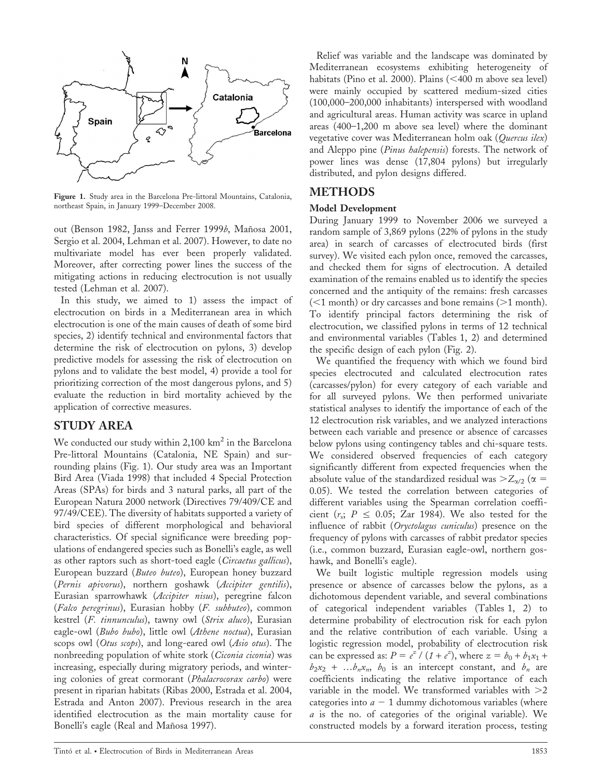

Figure 1. Study area in the Barcelona Pre-littoral Mountains, Catalonia, northeast Spain, in January 1999–December 2008.

out (Benson 1982, Janss and Ferrer 1999b, Mañosa 2001, Sergio et al. 2004, Lehman et al. 2007). However, to date no multivariate model has ever been properly validated. Moreover, after correcting power lines the success of the mitigating actions in reducing electrocution is not usually tested (Lehman et al. 2007).

In this study, we aimed to 1) assess the impact of electrocution on birds in a Mediterranean area in which electrocution is one of the main causes of death of some bird species, 2) identify technical and environmental factors that determine the risk of electrocution on pylons, 3) develop predictive models for assessing the risk of electrocution on pylons and to validate the best model, 4) provide a tool for prioritizing correction of the most dangerous pylons, and 5) evaluate the reduction in bird mortality achieved by the application of corrective measures.

### STUDY AREA

We conducted our study within  $2,100 \text{ km}^2$  in the Barcelona Pre-littoral Mountains (Catalonia, NE Spain) and surrounding plains (Fig. 1). Our study area was an Important Bird Area (Viada 1998) that included 4 Special Protection Areas (SPAs) for birds and 3 natural parks, all part of the European Natura 2000 network (Directives 79/409/CE and 97/49/CEE). The diversity of habitats supported a variety of bird species of different morphological and behavioral characteristics. Of special significance were breeding populations of endangered species such as Bonelli's eagle, as well as other raptors such as short-toed eagle (Circaetus gallicus), European buzzard (Buteo buteo), European honey buzzard (Pernis apivorus), northern goshawk (Accipiter gentilis), Eurasian sparrowhawk (Accipiter nisus), peregrine falcon (Falco peregrinus), Eurasian hobby (F. subbuteo), common kestrel (F. tinnunculus), tawny owl (Strix aluco), Eurasian eagle-owl (Bubo bubo), little owl (Athene noctua), Eurasian scops owl (Otus scops), and long-eared owl (Asio otus). The nonbreeding population of white stork (Ciconia ciconia) was increasing, especially during migratory periods, and wintering colonies of great cormorant (Phalacrocorax carbo) were present in riparian habitats (Ribas 2000, Estrada et al. 2004, Estrada and Anton 2007). Previous research in the area identified electrocution as the main mortality cause for Bonelli's eagle (Real and Mañosa 1997).

Relief was variable and the landscape was dominated by Mediterranean ecosystems exhibiting heterogeneity of habitats (Pino et al. 2000). Plains  $\left($  <400 m above sea level) were mainly occupied by scattered medium-sized cities (100,000–200,000 inhabitants) interspersed with woodland and agricultural areas. Human activity was scarce in upland areas (400–1,200 m above sea level) where the dominant vegetative cover was Mediterranean holm oak (Quercus ilex) and Aleppo pine (*Pinus halepensis*) forests. The network of power lines was dense (17,804 pylons) but irregularly distributed, and pylon designs differed.

## METHODS

#### Model Development

During January 1999 to November 2006 we surveyed a random sample of 3,869 pylons (22% of pylons in the study area) in search of carcasses of electrocuted birds (first survey). We visited each pylon once, removed the carcasses, and checked them for signs of electrocution. A detailed examination of the remains enabled us to identify the species concerned and the antiquity of the remains: fresh carcasses  $(<1$  month) or dry carcasses and bone remains  $(>1$  month). To identify principal factors determining the risk of electrocution, we classified pylons in terms of 12 technical and environmental variables (Tables 1, 2) and determined the specific design of each pylon (Fig. 2).

We quantified the frequency with which we found bird species electrocuted and calculated electrocution rates (carcasses/pylon) for every category of each variable and for all surveyed pylons. We then performed univariate statistical analyses to identify the importance of each of the 12 electrocution risk variables, and we analyzed interactions between each variable and presence or absence of carcasses below pylons using contingency tables and chi-square tests. We considered observed frequencies of each category significantly different from expected frequencies when the absolute value of the standardized residual was  $>Z_{\alpha/2}$  ( $\alpha =$ 0.05). We tested the correlation between categories of different variables using the Spearman correlation coefficient ( $r_s$ ;  $P \le 0.05$ ; Zar 1984). We also tested for the influence of rabbit (Oryctolagus cuniculus) presence on the frequency of pylons with carcasses of rabbit predator species (i.e., common buzzard, Eurasian eagle-owl, northern goshawk, and Bonelli's eagle).

We built logistic multiple regression models using presence or absence of carcasses below the pylons, as a dichotomous dependent variable, and several combinations of categorical independent variables (Tables 1, 2) to determine probability of electrocution risk for each pylon and the relative contribution of each variable. Using a logistic regression model, probability of electrocution risk can be expressed as:  $P = e^{z} / (1 + e^{z})$ , where  $z = b_0 + b_1x_1 + b_2x_2$  $b_2x_2 + ... b_nx_n$ ,  $b_0$  is an intercept constant, and  $b_n$  are coefficients indicating the relative importance of each variable in the model. We transformed variables with  $>2$ categories into  $a - 1$  dummy dichotomous variables (where a is the no. of categories of the original variable). We constructed models by a forward iteration process, testing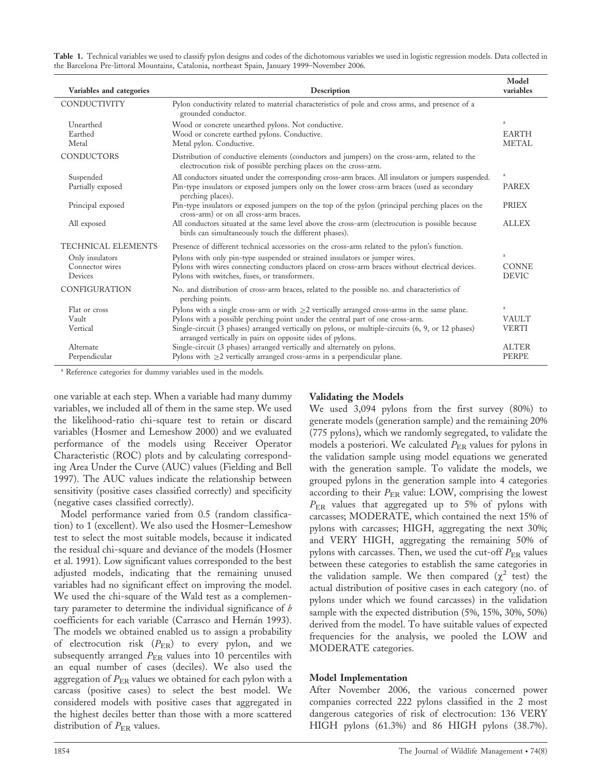| Table 1. Technical variables we used to classify pylon designs and codes of the dichotomous variables we used in logistic regression models. Data collected in |  |  |  |
|----------------------------------------------------------------------------------------------------------------------------------------------------------------|--|--|--|
| the Barcelona Pre-littoral Mountains, Catalonia, northeast Spain, January 1999–November 2006.                                                                  |  |  |  |

| Variables and categories   | Description                                                                                                                                                       | Model<br>variables           |
|----------------------------|-------------------------------------------------------------------------------------------------------------------------------------------------------------------|------------------------------|
| CONDUCTIVITY               | Pylon conductivity related to material characteristics of pole and cross arms, and presence of a<br>grounded conductor.                                           |                              |
| Unearthed                  | Wood or concrete unearthed pylons. Not conductive.                                                                                                                | a                            |
| Earthed<br>Metal           | Wood or concrete earthed pylons. Conductive.<br>Metal pylon. Conductive.                                                                                          | <b>EARTH</b><br><b>METAL</b> |
| <b>CONDUCTORS</b>          | Distribution of conductive elements (conductors and jumpers) on the cross-arm, related to the<br>electrocution risk of possible perching places on the cross-arm. |                              |
| Suspended                  | All conductors situated under the corresponding cross-arm braces. All insulators or jumpers suspended.                                                            | $\rm{a}$                     |
| Partially exposed          | Pin-type insulators or exposed jumpers only on the lower cross-arm braces (used as secondary<br>perching places).                                                 | <b>PAREX</b>                 |
| Principal exposed          | Pin-type insulators or exposed jumpers on the top of the pylon (principal perching places on the<br>cross-arm) or on all cross-arm braces.                        | <b>PRIEX</b>                 |
| All exposed                | All conductors situated at the same level above the cross-arm (electrocution is possible because<br>birds can simultaneously touch the different phases).         | <b>ALLEX</b>                 |
| TECHNICAL ELEMENTS         | Presence of different technical accessories on the cross-arm related to the pylon's function.                                                                     |                              |
| Only insulators            | Pylons with only pin-type suspended or strained insulators or jumper wires.                                                                                       | $\rm{a}$                     |
| Connector wires<br>Devices | Pylons with wires connecting conductors placed on cross-arm braces without electrical devices.<br>Pylons with switches, fuses, or transformers.                   | <b>CONNE</b><br><b>DEVIC</b> |
| CONFIGURATION              | No. and distribution of cross-arm braces, related to the possible no. and characteristics of<br>perching points.                                                  |                              |
| Flat or cross              | Pylons with a single cross-arm or with $\geq$ vertically arranged cross-arms in the same plane.                                                                   | $\rm{a}$                     |
| Vault                      | Pylons with a possible perching point under the central part of one cross-arm.                                                                                    | <b>VAULT</b>                 |
| Vertical                   | Single-circuit (3 phases) arranged vertically on pylons, or multiple-circuits (6, 9, or 12 phases)<br>arranged vertically in pairs on opposite sides of pylons.   | <b>VERTI</b>                 |
| Alternate                  | Single-circuit (3 phases) arranged vertically and alternately on pylons.                                                                                          | <b>ALTER</b>                 |
| Perpendicular              | Pylons with $\geq$ 2 vertically arranged cross-arms in a perpendicular plane.                                                                                     | PERPE                        |

<sup>a</sup> Reference categories for dummy variables used in the models.

one variable at each step. When a variable had many dummy variables, we included all of them in the same step. We used the likelihood-ratio chi-square test to retain or discard variables (Hosmer and Lemeshow 2000) and we evaluated performance of the models using Receiver Operator Characteristic (ROC) plots and by calculating corresponding Area Under the Curve (AUC) values (Fielding and Bell 1997). The AUC values indicate the relationship between sensitivity (positive cases classified correctly) and specificity (negative cases classified correctly).

Model performance varied from 0.5 (random classification) to 1 (excellent). We also used the Hosmer–Lemeshow test to select the most suitable models, because it indicated the residual chi-square and deviance of the models (Hosmer et al. 1991). Low significant values corresponded to the best adjusted models, indicating that the remaining unused variables had no significant effect on improving the model. We used the chi-square of the Wald test as a complementary parameter to determine the individual significance of  $b$ coefficients for each variable (Carrasco and Hernán 1993). The models we obtained enabled us to assign a probability of electrocution risk  $(P_{ER})$  to every pylon, and we subsequently arranged  $P_{ER}$  values into 10 percentiles with an equal number of cases (deciles). We also used the aggregation of  $P_{ER}$  values we obtained for each pylon with a carcass (positive cases) to select the best model. We considered models with positive cases that aggregated in the highest deciles better than those with a more scattered distribution of  $P_{\text{ER}}$  values.

#### Validating the Models

We used 3,094 pylons from the first survey (80%) to generate models (generation sample) and the remaining 20% (775 pylons), which we randomly segregated, to validate the models a posteriori. We calculated  $P_{ER}$  values for pylons in the validation sample using model equations we generated with the generation sample. To validate the models, we grouped pylons in the generation sample into 4 categories according to their  $P_{\text{ER}}$  value: LOW, comprising the lowest PER values that aggregated up to 5% of pylons with carcasses; MODERATE, which contained the next 15% of pylons with carcasses; HIGH, aggregating the next 30%; and VERY HIGH, aggregating the remaining 50% of pylons with carcasses. Then, we used the cut-off  $P_{ER}$  values between these categories to establish the same categories in the validation sample. We then compared  $(\chi^2$  test) the actual distribution of positive cases in each category (no. of pylons under which we found carcasses) in the validation sample with the expected distribution (5%, 15%, 30%, 50%) derived from the model. To have suitable values of expected frequencies for the analysis, we pooled the LOW and MODERATE categories.

#### Model Implementation

After November 2006, the various concerned power companies corrected 222 pylons classified in the 2 most dangerous categories of risk of electrocution: 136 VERY HIGH pylons (61.3%) and 86 HIGH pylons (38.7%).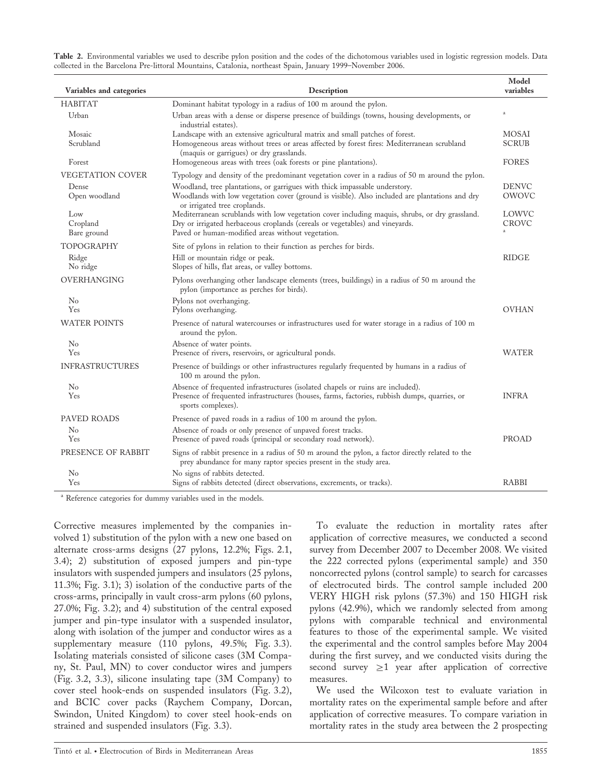Table 2. Environmental variables we used to describe pylon position and the codes of the dichotomous variables used in logistic regression models. Data collected in the Barcelona Pre-littoral Mountains, Catalonia, northeast Spain, January 1999–November 2006.

| Variables and categories       | Description                                                                                                                                                                                                                         | Model<br>variables           |
|--------------------------------|-------------------------------------------------------------------------------------------------------------------------------------------------------------------------------------------------------------------------------------|------------------------------|
| <b>HABITAT</b>                 | Dominant habitat typology in a radius of 100 m around the pylon.                                                                                                                                                                    |                              |
| Urban                          | Urban areas with a dense or disperse presence of buildings (towns, housing developments, or<br>industrial estates).                                                                                                                 | $\rm{a}$                     |
| Mosaic<br>Scrubland            | Landscape with an extensive agricultural matrix and small patches of forest.<br>Homogeneous areas without trees or areas affected by forest fires: Mediterranean scrubland<br>(maquis or garrigues) or dry grasslands.              | <b>MOSAI</b><br><b>SCRUB</b> |
| Forest                         | Homogeneous areas with trees (oak forests or pine plantations).                                                                                                                                                                     | <b>FORES</b>                 |
| VEGETATION COVER               | Typology and density of the predominant vegetation cover in a radius of 50 m around the pylon.                                                                                                                                      |                              |
| Dense<br>Open woodland         | Woodland, tree plantations, or garrigues with thick impassable understory.<br>Woodlands with low vegetation cover (ground is visible). Also included are plantations and dry<br>or irrigated tree croplands.                        | <b>DENVC</b><br>OWOVC        |
| Low<br>Cropland<br>Bare ground | Mediterranean scrublands with low vegetation cover including maquis, shrubs, or dry grassland.<br>Dry or irrigated herbaceous croplands (cereals or vegetables) and vineyards.<br>Paved or human-modified areas without vegetation. | LOWVC<br>CROVC               |
| TOPOGRAPHY                     | Site of pylons in relation to their function as perches for birds.                                                                                                                                                                  |                              |
| Ridge<br>No ridge              | Hill or mountain ridge or peak.<br>Slopes of hills, flat areas, or valley bottoms.                                                                                                                                                  | <b>RIDGE</b>                 |
| OVERHANGING                    | Pylons overhanging other landscape elements (trees, buildings) in a radius of 50 m around the<br>pylon (importance as perches for birds).                                                                                           |                              |
| $\rm No$<br>Yes                | Pylons not overhanging.<br>Pylons overhanging.                                                                                                                                                                                      | <b>OVHAN</b>                 |
| <b>WATER POINTS</b>            | Presence of natural watercourses or infrastructures used for water storage in a radius of 100 m<br>around the pylon.                                                                                                                |                              |
| N <sub>0</sub>                 | Absence of water points.                                                                                                                                                                                                            |                              |
| Yes                            | Presence of rivers, reservoirs, or agricultural ponds.                                                                                                                                                                              | WATER                        |
| <b>INFRASTRUCTURES</b>         | Presence of buildings or other infrastructures regularly frequented by humans in a radius of<br>100 m around the pylon.                                                                                                             |                              |
| N <sub>0</sub><br>Yes          | Absence of frequented infrastructures (isolated chapels or ruins are included).<br>Presence of frequented infrastructures (houses, farms, factories, rubbish dumps, quarries, or<br>sports complexes).                              | <b>INFRA</b>                 |
| PAVED ROADS                    | Presence of paved roads in a radius of 100 m around the pylon.                                                                                                                                                                      |                              |
| N <sub>0</sub><br>Yes          | Absence of roads or only presence of unpaved forest tracks.<br>Presence of paved roads (principal or secondary road network).                                                                                                       | PROAD                        |
| PRESENCE OF RABBIT             | Signs of rabbit presence in a radius of 50 m around the pylon, a factor directly related to the<br>prey abundance for many raptor species present in the study area.                                                                |                              |
| N <sub>0</sub>                 | No signs of rabbits detected.                                                                                                                                                                                                       |                              |
| Yes                            | Signs of rabbits detected (direct observations, excrements, or tracks).                                                                                                                                                             | <b>RABBI</b>                 |

<sup>a</sup> Reference categories for dummy variables used in the models.

Corrective measures implemented by the companies involved 1) substitution of the pylon with a new one based on alternate cross-arms designs (27 pylons, 12.2%; Figs. 2.1, 3.4); 2) substitution of exposed jumpers and pin-type insulators with suspended jumpers and insulators (25 pylons, 11.3%; Fig. 3.1); 3) isolation of the conductive parts of the cross-arms, principally in vault cross-arm pylons (60 pylons, 27.0%; Fig. 3.2); and 4) substitution of the central exposed jumper and pin-type insulator with a suspended insulator, along with isolation of the jumper and conductor wires as a supplementary measure (110 pylons, 49.5%; Fig. 3.3). Isolating materials consisted of silicone cases (3M Company, St. Paul, MN) to cover conductor wires and jumpers (Fig. 3.2, 3.3), silicone insulating tape (3M Company) to cover steel hook-ends on suspended insulators (Fig. 3.2), and BCIC cover packs (Raychem Company, Dorcan, Swindon, United Kingdom) to cover steel hook-ends on strained and suspended insulators (Fig. 3.3).

To evaluate the reduction in mortality rates after application of corrective measures, we conducted a second survey from December 2007 to December 2008. We visited the 222 corrected pylons (experimental sample) and 350 noncorrected pylons (control sample) to search for carcasses of electrocuted birds. The control sample included 200 VERY HIGH risk pylons (57.3%) and 150 HIGH risk pylons (42.9%), which we randomly selected from among pylons with comparable technical and environmental features to those of the experimental sample. We visited the experimental and the control samples before May 2004 during the first survey, and we conducted visits during the second survey  $\geq 1$  year after application of corrective measures.

We used the Wilcoxon test to evaluate variation in mortality rates on the experimental sample before and after application of corrective measures. To compare variation in mortality rates in the study area between the 2 prospecting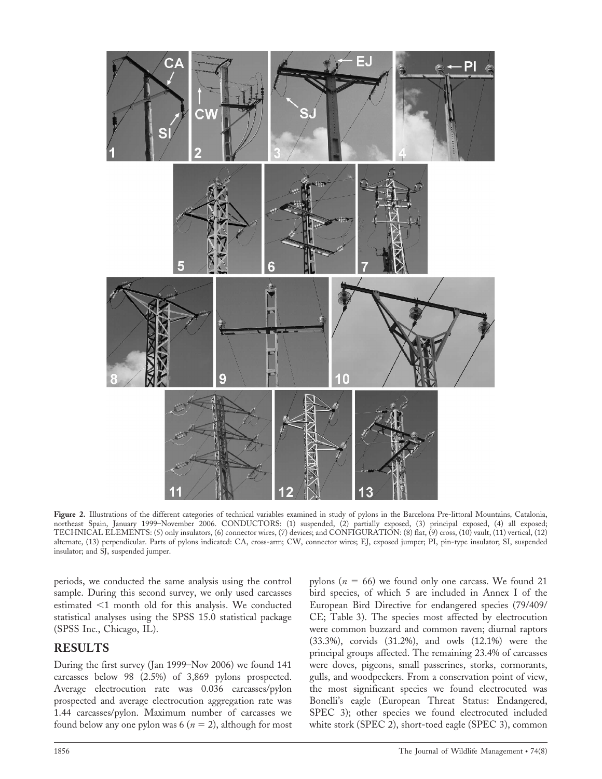

Figure 2. Illustrations of the different categories of technical variables examined in study of pylons in the Barcelona Pre-littoral Mountains, Catalonia, northeast Spain, January 1999–November 2006. CONDUCTORS: (1) suspended, (2) partially exposed, (3) principal exposed, (4) all exposed; TECHNICAL ELEMENTS: (5) only insulators, (6) connector wires, (7) devices; and CONFIGURATION: (8) flat, (9) cross, (10) vault, (11) vertical, (12) alternate, (13) perpendicular. Parts of pylons indicated: CA, cross-arm; CW, connector wires; EJ, exposed jumper; PI, pin-type insulator; SI, suspended insulator; and SJ, suspended jumper.

periods, we conducted the same analysis using the control sample. During this second survey, we only used carcasses estimated  $\leq$ 1 month old for this analysis. We conducted statistical analyses using the SPSS 15.0 statistical package (SPSS Inc., Chicago, IL).

### RESULTS

During the first survey (Jan 1999–Nov 2006) we found 141 carcasses below 98 (2.5%) of 3,869 pylons prospected. Average electrocution rate was 0.036 carcasses/pylon prospected and average electrocution aggregation rate was 1.44 carcasses/pylon. Maximum number of carcasses we found below any one pylon was 6 ( $n = 2$ ), although for most pylons ( $n = 66$ ) we found only one carcass. We found 21 bird species, of which 5 are included in Annex I of the European Bird Directive for endangered species (79/409/ CE; Table 3). The species most affected by electrocution were common buzzard and common raven; diurnal raptors (33.3%), corvids (31.2%), and owls (12.1%) were the principal groups affected. The remaining 23.4% of carcasses were doves, pigeons, small passerines, storks, cormorants, gulls, and woodpeckers. From a conservation point of view, the most significant species we found electrocuted was Bonelli's eagle (European Threat Status: Endangered, SPEC 3); other species we found electrocuted included white stork (SPEC 2), short-toed eagle (SPEC 3), common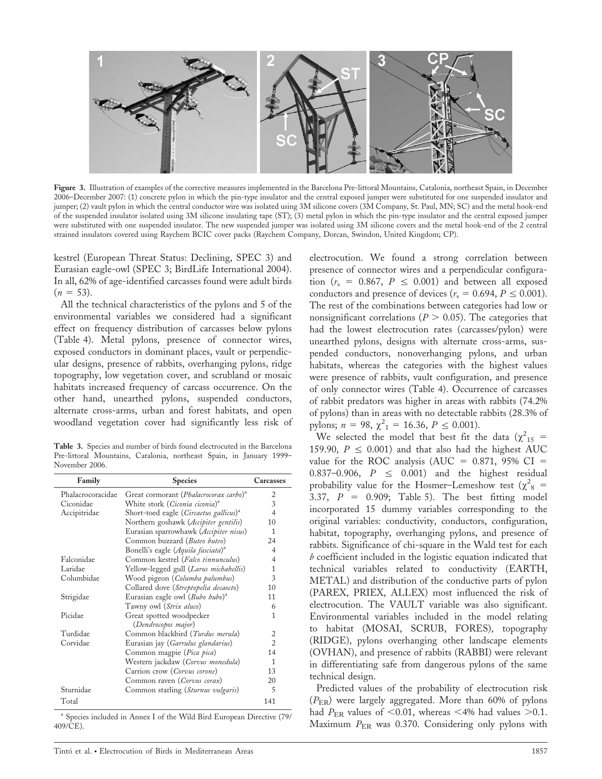

Figure 3. Illustration of examples of the corrective measures implemented in the Barcelona Pre-littoral Mountains, Catalonia, northeast Spain, in December 2006–December 2007: (1) concrete pylon in which the pin-type insulator and the central exposed jumper were substituted for one suspended insulator and jumper; (2) vault pylon in which the central conductor wire was isolated using 3M silicone covers (3M Company, St. Paul, MN; SC) and the metal hook-end of the suspended insulator isolated using 3M silicone insulating tape (ST); (3) metal pylon in which the pin-type insulator and the central exposed jumper were substituted with one suspended insulator. The new suspended jumper was isolated using 3M silicone covers and the metal hook-end of the 2 central strained insulators covered using Raychem BCIC cover packs (Raychem Company, Dorcan, Swindon, United Kingdom; CP).

kestrel (European Threat Status: Declining, SPEC 3) and Eurasian eagle-owl (SPEC 3; BirdLife International 2004). In all, 62% of age-identified carcasses found were adult birds  $(n = 53)$ .

All the technical characteristics of the pylons and 5 of the environmental variables we considered had a significant effect on frequency distribution of carcasses below pylons (Table 4). Metal pylons, presence of connector wires, exposed conductors in dominant places, vault or perpendicular designs, presence of rabbits, overhanging pylons, ridge topography, low vegetation cover, and scrubland or mosaic habitats increased frequency of carcass occurrence. On the other hand, unearthed pylons, suspended conductors, alternate cross-arms, urban and forest habitats, and open woodland vegetation cover had significantly less risk of

Table 3. Species and number of birds found electrocuted in the Barcelona Pre-littoral Mountains, Catalonia, northeast Spain, in January 1999– November 2006.

| Family            | <b>Species</b>                                     | Carcasses      |
|-------------------|----------------------------------------------------|----------------|
| Phalacrocoracidae | Great cormorant (Phalacrocorax carbo) <sup>a</sup> | 2              |
| Ciconidae         | White stork (Ciconia ciconia) <sup>a</sup>         | 3              |
| Accipitridae      | Short-toed eagle (Circaetus gallicus) <sup>a</sup> | $\overline{4}$ |
|                   | Northern goshawk (Accipiter gentilis)              | 10             |
|                   | Eurasian sparrowhawk (Accipiter nisus)             | 1              |
|                   | Common buzzard (Buteo buteo)                       | 24             |
|                   | Bonelli's eagle (Aquila fasciata) <sup>a</sup>     | 4              |
| Falconidae        | Common kestrel (Falco tinnunculus)                 | 4              |
| Laridae           | Yellow-legged gull (Larus michahellis)             | 1              |
| Columbidae        | Wood pigeon (Columba palumbus)                     | 3              |
|                   | Collared dove (Streptopelia decaocto)              | 10             |
| Strigidae         | Eurasian eagle owl (Bubo bubo) <sup>a</sup>        | 11             |
|                   | Tawny owl (Strix aluco)                            | 6              |
| Picidae           | Great spotted woodpecker                           | 1              |
|                   | (Dendrocopos major)                                |                |
| Turdidae          | Common blackbird (Turdus merula)                   | $\overline{2}$ |
| Corvidae          | Eurasian jay (Garrulus glandarius)                 | $\overline{2}$ |
|                   | Common magpie (Pica pica)                          | 14             |
|                   | Western jackdaw (Corvus monedula)                  | 1              |
|                   | Carrion crow (Corvus corone)                       | 13             |
|                   | Common raven (Corvus corax)                        | 20             |
| Sturnidae         | Common starling (Sturnus vulgaris)                 | 5              |
| Total             |                                                    | 141            |

<sup>a</sup> Species included in Annex I of the Wild Bird European Directive (79/ 409/CE).

Tinto´ et al. • Electrocution of Birds in Mediterranean Areas 1857

electrocution. We found a strong correlation between presence of connector wires and a perpendicular configuration ( $r_s = 0.867$ ,  $P \le 0.001$ ) and between all exposed conductors and presence of devices ( $r_s = 0.694, P \le 0.001$ ). The rest of the combinations between categories had low or nonsignificant correlations ( $P > 0.05$ ). The categories that had the lowest electrocution rates (carcasses/pylon) were unearthed pylons, designs with alternate cross-arms, suspended conductors, nonoverhanging pylons, and urban habitats, whereas the categories with the highest values were presence of rabbits, vault configuration, and presence of only connector wires (Table 4). Occurrence of carcasses of rabbit predators was higher in areas with rabbits (74.2% of pylons) than in areas with no detectable rabbits (28.3% of pylons;  $n = 98$ ,  $\chi^2_{1} = 16.36$ ,  $P \le 0.001$ ).

We selected the model that best fit the data ( $\chi^2_{15}$  = 159.90,  $P \leq 0.001$ ) and that also had the highest AUC value for the ROC analysis (AUC =  $0.871$ , 95% CI = 0.837-0.906,  $P \le 0.001$  and the highest residual probability value for the Hosmer–Lemeshow test ( $\chi^2$ <sub>8</sub> = 3.37,  $P = 0.909$ ; Table 5). The best fitting model incorporated 15 dummy variables corresponding to the original variables: conductivity, conductors, configuration, habitat, topography, overhanging pylons, and presence of rabbits. Significance of chi-square in the Wald test for each b coefficient included in the logistic equation indicated that technical variables related to conductivity (EARTH, METAL) and distribution of the conductive parts of pylon (PAREX, PRIEX, ALLEX) most influenced the risk of electrocution. The VAULT variable was also significant. Environmental variables included in the model relating to habitat (MOSAI, SCRUB, FORES), topography (RIDGE), pylons overhanging other landscape elements (OVHAN), and presence of rabbits (RABBI) were relevant in differentiating safe from dangerous pylons of the same technical design.

Predicted values of the probability of electrocution risk  $(P_{ER})$  were largely aggregated. More than 60% of pylons had  $P_{\text{ER}}$  values of <0.01, whereas <4% had values >0.1. Maximum  $P_{ER}$  was 0.370. Considering only pylons with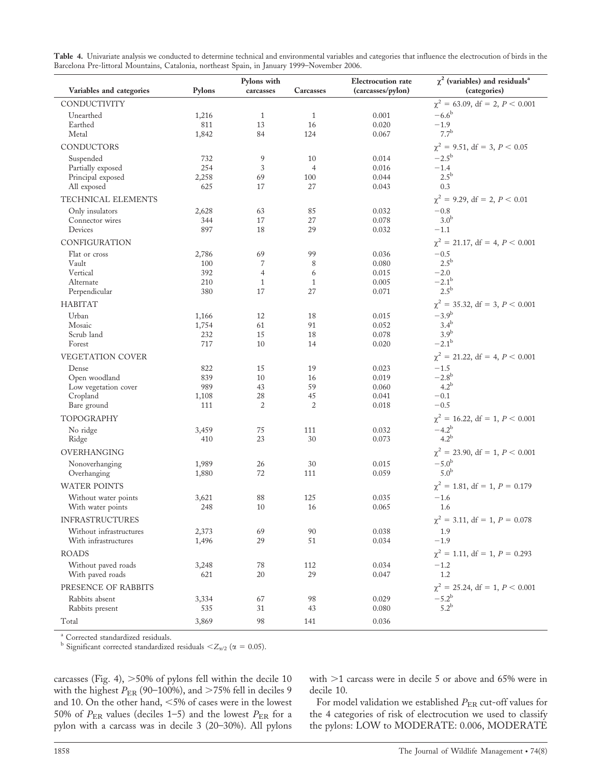| Table 4. Univariate analysis we conducted to determine technical and environmental variables and categories that influence the electrocution of birds in the |
|--------------------------------------------------------------------------------------------------------------------------------------------------------------|
| Barcelona Pre-littoral Mountains, Catalonia, northeast Spain, in January 1999-November 2006.                                                                 |

|                                                 |                | Pylons with          |                      | <b>Electrocution</b> rate | $\chi^2$ (variables) and residuals <sup>a</sup> |
|-------------------------------------------------|----------------|----------------------|----------------------|---------------------------|-------------------------------------------------|
| Variables and categories                        | Pylons         | carcasses            | Carcasses            | (carcasses/pylon)         | (categories)                                    |
| CONDUCTIVITY                                    |                |                      |                      |                           | $\chi^2$ = 63.09, df = 2, P < 0.001             |
| Unearthed                                       | 1,216          | $\mathbf{1}$         | $\mathbf{1}$         | 0.001                     | $-6.6^{\rm b}$                                  |
| Earthed                                         | 811            | 13                   | 16                   | 0.020                     | $-1.9$                                          |
| Metal                                           | 1,842          | 84                   | 124                  | 0.067                     | $7.7^{\rm b}$                                   |
| CONDUCTORS                                      |                |                      |                      |                           | $\chi^2 = 9.51$ , df = 3, P < 0.05              |
| Suspended                                       | 732            | 9                    | 10                   | 0.014                     | $-2.5^{\rm b}$                                  |
| Partially exposed                               | 254            | 3                    | $\overline{4}$       | 0.016                     | $-1.4$<br>$2.5^{\rm b}$                         |
| Principal exposed<br>All exposed                | 2,258<br>625   | 69<br>17             | 100<br>27            | 0.044<br>0.043            | 0.3                                             |
| TECHNICAL ELEMENTS                              |                |                      |                      |                           | $\chi^2 = 9.29$ , df = 2, P < 0.01              |
| Only insulators                                 | 2,628          | 63                   | 85                   | 0.032                     | $-0.8$                                          |
| Connector wires                                 | 344            | 17                   | 27                   | 0.078                     | 3.0 <sup>b</sup>                                |
| Devices                                         | 897            | 18                   | 29                   | 0.032                     | $-1.1$                                          |
| CONFIGURATION                                   |                |                      |                      |                           | $\chi^2 = 21.17$ , df = 4, $P < 0.001$          |
| Flat or cross                                   | 2,786          | 69                   | 99                   | 0.036                     | $-0.5$                                          |
| Vault                                           | 100            | 7                    | 8                    | 0.080                     | $2.5^{\rm b}$                                   |
| Vertical                                        | 392            | $\overline{4}$       | 6                    | 0.015                     | $-2.0$                                          |
| Alternate<br>Perpendicular                      | 210<br>380     | 1<br>17              | 1<br>27              | 0.005<br>0.071            | $-2.1^{\rm b}$<br>$2.5^{\rm b}$                 |
|                                                 |                |                      |                      |                           |                                                 |
| <b>HABITAT</b>                                  |                |                      |                      |                           | $\chi^2 = 35.32$ , df = 3, P < 0.001            |
| Urban<br>Mosaic                                 | 1,166<br>1,754 | 12<br>61             | 18<br>91             | 0.015<br>0.052            | $-3.9^{\rm b}$<br>$3.4^{\rm b}$                 |
| Scrub land                                      | 232            | 15                   | 18                   | 0.078                     | 3.9 <sup>b</sup>                                |
| Forest                                          | 717            | 10                   | 14                   | 0.020                     | $-2.1^{\rm b}$                                  |
| VEGETATION COVER                                |                |                      |                      |                           | $\chi^2 = 21.22$ , df = 4, P < 0.001            |
| Dense                                           | 822            | 15                   | 19                   | 0.023                     | $-1.5$                                          |
| Open woodland                                   | 839            | 10                   | 16                   | 0.019                     | $-2.8^{\rm b}$                                  |
| Low vegetation cover                            | 989            | 43                   | 59                   | 0.060                     | $4.2^{\rm b}$                                   |
| Cropland                                        | 1,108          | 28<br>$\overline{2}$ | 45<br>$\overline{2}$ | 0.041<br>0.018            | $-0.1$<br>$-0.5$                                |
| Bare ground                                     | 111            |                      |                      |                           |                                                 |
| TOPOGRAPHY                                      |                |                      |                      |                           | $\chi^2 = 16.22$ , df = 1, P < 0.001            |
| No ridge                                        | 3,459          | 75                   | 111                  | 0.032                     | $-4.2^{\rm b}$<br>4.2 <sup>b</sup>              |
| Ridge                                           | 410            | 23                   | 30                   | 0.073                     |                                                 |
| OVERHANGING                                     |                |                      |                      |                           | $\chi^2 = 23.90$ , df = 1, P < 0.001            |
| Nonoverhanging                                  | 1,989          | 26                   | 30                   | 0.015                     | $-5.0^{\rm b}$<br>5.0 <sup>b</sup>              |
| Overhanging                                     | 1,880          | 72                   | 111                  | 0.059                     |                                                 |
| <b>WATER POINTS</b>                             |                |                      |                      |                           | $\chi^2 = 1.81$ , df = 1, P = 0.179             |
| Without water points                            | 3,621          | 88                   | 125                  | 0.035                     | $-1.6$                                          |
| With water points                               | 248            | 10                   | 16                   | 0.065                     | 1.6                                             |
| <b>INFRASTRUCTURES</b>                          |                |                      |                      |                           | $\chi^2 = 3.11$ , df = 1, P = 0.078             |
| Without infrastructures<br>With infrastructures | 2,373<br>1,496 | 69<br>29             | 90<br>51             | 0.038<br>0.034            | 1.9<br>$-1.9$                                   |
| <b>ROADS</b>                                    |                |                      |                      |                           | $\chi^2 = 1.11$ , df = 1, P = 0.293             |
| Without paved roads                             | 3,248          | 78                   | 112                  | 0.034                     | $-1.2$                                          |
| With paved roads                                | 621            | 20                   | 29                   | 0.047                     | 1.2                                             |
| PRESENCE OF RABBITS                             |                |                      |                      |                           | $\chi^2 = 25.24$ , df = 1, P < 0.001            |
| Rabbits absent                                  | 3,334          | 67                   | 98                   | 0.029                     | $-5.2^{\rm b}$                                  |
| Rabbits present                                 | 535            | 31                   | 43                   | 0.080                     | $5.2^{\rm b}$                                   |
| Total                                           | 3,869          | 98                   | 141                  | 0.036                     |                                                 |

<sup>a</sup> Corrected standardized residuals.

<sup>b</sup> Significant corrected standardized residuals < $Z_{\alpha/2}$  ( $\alpha = 0.05$ ).

carcasses (Fig. 4),  $>50\%$  of pylons fell within the decile 10 with the highest  $P_{ER}$  (90–100%), and >75% fell in deciles 9 and 10. On the other hand,  $<$  5% of cases were in the lowest 50% of  $P_{\text{ER}}$  values (deciles 1-5) and the lowest  $P_{\text{ER}}$  for a pylon with a carcass was in decile 3 (20–30%). All pylons

with  $>1$  carcass were in decile 5 or above and 65% were in decile 10.

For model validation we established  $P_{\text{ER}}$  cut-off values for the 4 categories of risk of electrocution we used to classify the pylons: LOW to MODERATE: 0.006, MODERATE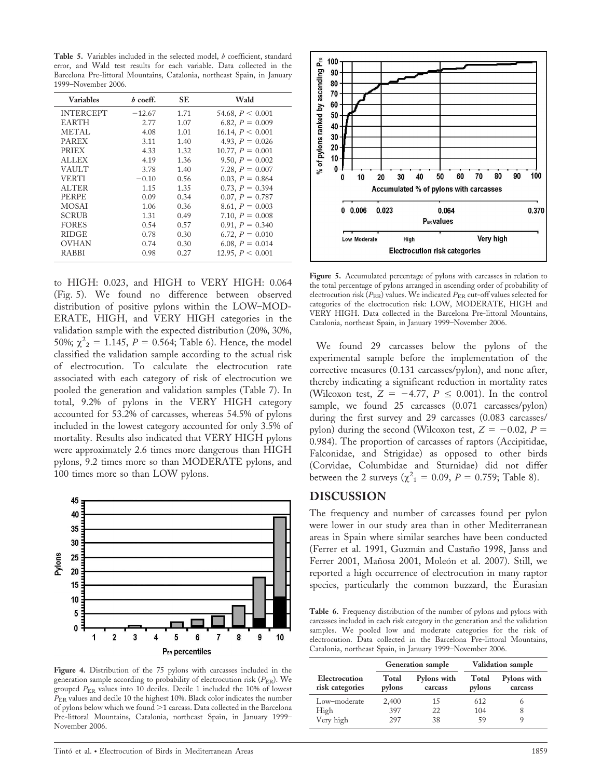Table 5. Variables included in the selected model, b coefficient, standard error, and Wald test results for each variable. Data collected in the Barcelona Pre-littoral Mountains, Catalonia, northeast Spain, in January 1999–November 2006.

| <b>Variables</b> | $b$ coeff. | SE   | Wald                  |
|------------------|------------|------|-----------------------|
| <b>INTERCEPT</b> | $-12.67$   | 1.71 | 54.68, $P \leq 0.001$ |
| EARTH            | 2.77       | 1.07 | 6.82, $P = 0.009$     |
| <b>METAL</b>     | 4.08       | 1.01 | 16.14, $P < 0.001$    |
| <b>PAREX</b>     | 3.11       | 1.40 | 4.93, $P = 0.026$     |
| <b>PRIEX</b>     | 4.33       | 1.32 | 10.77, $P = 0.001$    |
| <b>ALLEX</b>     | 4.19       | 1.36 | 9.50, $P = 0.002$     |
| <b>VAULT</b>     | 3.78       | 1.40 | 7.28, $P = 0.007$     |
| <b>VERTI</b>     | $-0.10$    | 0.56 | 0.03, $P = 0.864$     |
| ALTER            | 1.15       | 1.35 | 0.73, $P = 0.394$     |
| <b>PERPE</b>     | 0.09       | 0.34 | $0.07, P = 0.787$     |
| MOSAI            | 1.06       | 0.36 | 8.61, $P = 0.003$     |
| <b>SCRUB</b>     | 1.31       | 0.49 | 7.10, $P = 0.008$     |
| FORES            | 0.54       | 0.57 | $0.91, P = 0.340$     |
| <b>RIDGE</b>     | 0.78       | 0.30 | 6.72, $P = 0.010$     |
| OVHAN            | 0.74       | 0.30 | 6.08, $P = 0.014$     |
| RABBI            | 0.98       | 0.27 | 12.95, $P < 0.001$    |

to HIGH: 0.023, and HIGH to VERY HIGH: 0.064 (Fig. 5). We found no difference between observed distribution of positive pylons within the LOW–MOD-ERATE, HIGH, and VERY HIGH categories in the validation sample with the expected distribution (20%, 30%, 50%;  $\chi^2$ <sub>2</sub> = 1.145, *P* = 0.564; Table 6). Hence, the model classified the validation sample according to the actual risk of electrocution. To calculate the electrocution rate associated with each category of risk of electrocution we pooled the generation and validation samples (Table 7). In total, 9.2% of pylons in the VERY HIGH category accounted for 53.2% of carcasses, whereas 54.5% of pylons included in the lowest category accounted for only 3.5% of mortality. Results also indicated that VERY HIGH pylons were approximately 2.6 times more dangerous than HIGH pylons, 9.2 times more so than MODERATE pylons, and 100 times more so than LOW pylons.



Figure 4. Distribution of the 75 pylons with carcasses included in the generation sample according to probability of electrocution risk  $(P_{ER})$ . We grouped  $P_{ER}$  values into 10 deciles. Decile 1 included the 10% of lowest  $P_{\text{ER}}$  values and decile 10 the highest 10%. Black color indicates the number of pylons below which we found >1 carcass. Data collected in the Barcelona Pre-littoral Mountains, Catalonia, northeast Spain, in January 1999– November 2006.



Figure 5. Accumulated percentage of pylons with carcasses in relation to the total percentage of pylons arranged in ascending order of probability of electrocution risk ( $P_{\text{ER}}$ ) values. We indicated  $P_{\text{ER}}$  cut-off values selected for categories of the electrocution risk: LOW, MODERATE, HIGH and VERY HIGH. Data collected in the Barcelona Pre-littoral Mountains, Catalonia, northeast Spain, in January 1999–November 2006.

We found 29 carcasses below the pylons of the experimental sample before the implementation of the corrective measures (0.131 carcasses/pylon), and none after, thereby indicating a significant reduction in mortality rates (Wilcoxon test,  $Z = -4.77$ ,  $P \leq 0.001$ ). In the control sample, we found 25 carcasses (0.071 carcasses/pylon) during the first survey and 29 carcasses (0.083 carcasses/ pylon) during the second (Wilcoxon test,  $Z = -0.02$ ,  $P =$ 0.984). The proportion of carcasses of raptors (Accipitidae, Falconidae, and Strigidae) as opposed to other birds (Corvidae, Columbidae and Sturnidae) did not differ between the 2 surveys ( $\chi^2_{1} = 0.09, P = 0.759;$  Table 8).

#### DISCUSSION

The frequency and number of carcasses found per pylon were lower in our study area than in other Mediterranean areas in Spain where similar searches have been conducted (Ferrer et al. 1991, Guzmán and Castaño 1998, Janss and Ferrer 2001, Mañosa 2001, Moleón et al. 2007). Still, we reported a high occurrence of electrocution in many raptor species, particularly the common buzzard, the Eurasian

Table 6. Frequency distribution of the number of pylons and pylons with carcasses included in each risk category in the generation and the validation samples. We pooled low and moderate categories for the risk of electrocution. Data collected in the Barcelona Pre-littoral Mountains, Catalonia, northeast Spain, in January 1999–November 2006.

|                                  |                 | <b>Generation</b> sample | <b>Validation sample</b> |                        |  |
|----------------------------------|-----------------|--------------------------|--------------------------|------------------------|--|
| Electrocution<br>risk categories | Total<br>pylons | Pylons with<br>carcass   | Total<br>pylons          | Pylons with<br>carcass |  |
| Low-moderate                     | 2,400           | 15                       | 612                      | h                      |  |
| High                             | 397             | 22                       | 104                      | 8                      |  |
| Very high                        | 297             | 38                       | 59                       | 9                      |  |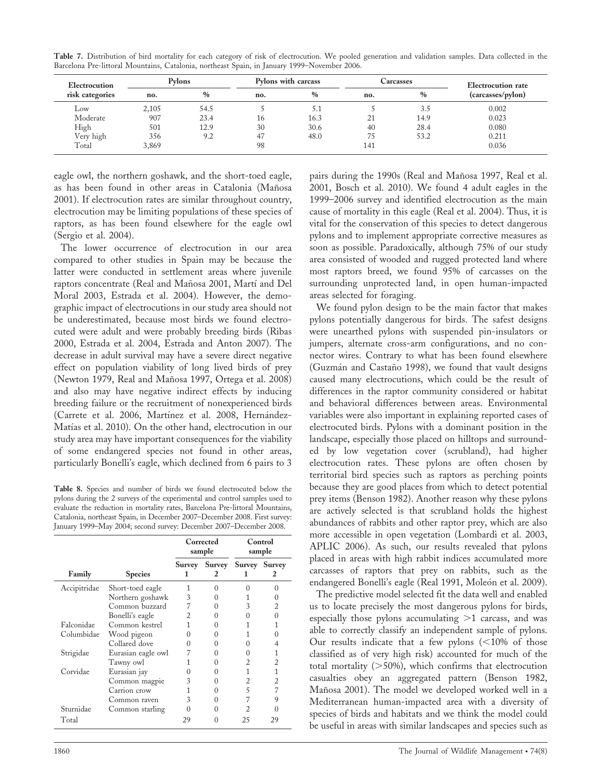| <b>Electrocution</b> | Pylons |      | Pylons with carcass |               | Carcasses |               | Electrocution rate |  |
|----------------------|--------|------|---------------------|---------------|-----------|---------------|--------------------|--|
| risk categories      | no.    | $\%$ | no.                 | $\frac{0}{0}$ | no.       | $\frac{0}{0}$ | (carcasses/pylon)  |  |
| Low                  | 2,105  | 54.5 |                     |               |           | 3.5           | 0.002              |  |
| Moderate             | 907    | 23.4 | 16                  | 16.3          | 21        | 14.9          | 0.023              |  |
| High                 | 501    | 12.9 | 30                  | 30.6          | 40        | 28.4          | 0.080              |  |
| Very high            | 356    | 9.2  | 47                  | 48.0          | 75        | 53.2          | 0.211              |  |
| Total                | 3,869  |      | 98                  |               | 141       |               | 0.036              |  |

Table 7. Distribution of bird mortality for each category of risk of electrocution. We pooled generation and validation samples. Data collected in the Barcelona Pre-littoral Mountains, Catalonia, northeast Spain, in January 1999–November 2006.

eagle owl, the northern goshawk, and the short-toed eagle, as has been found in other areas in Catalonia (Mañosa 2001). If electrocution rates are similar throughout country, electrocution may be limiting populations of these species of raptors, as has been found elsewhere for the eagle owl (Sergio et al. 2004).

The lower occurrence of electrocution in our area compared to other studies in Spain may be because the latter were conducted in settlement areas where juvenile raptors concentrate (Real and Mañosa 2001, Martí and Del Moral 2003, Estrada et al. 2004). However, the demographic impact of electrocutions in our study area should not be underestimated, because most birds we found electrocuted were adult and were probably breeding birds (Ribas 2000, Estrada et al. 2004, Estrada and Anton 2007). The decrease in adult survival may have a severe direct negative effect on population viability of long lived birds of prey (Newton 1979, Real and Mañosa 1997, Ortega et al. 2008) and also may have negative indirect effects by inducing breeding failure or the recruitment of nonexperienced birds (Carrete et al. 2006, Martínez et al. 2008, Hernández-Matías et al. 2010). On the other hand, electrocution in our study area may have important consequences for the viability of some endangered species not found in other areas, particularly Bonelli's eagle, which declined from 6 pairs to 3

Table 8. Species and number of birds we found electrocuted below the pylons during the 2 surveys of the experimental and control samples used to evaluate the reduction in mortality rates, Barcelona Pre-littoral Mountains, Catalonia, northeast Spain, in December 2007–December 2008. First survey: January 1999–May 2004; second survey: December 2007–December 2008.

|              |                    | Corrected<br>sample |   | Control<br>sample    |    |
|--------------|--------------------|---------------------|---|----------------------|----|
| Family       | <b>Species</b>     | Survey              |   | Survey Survey Survey | 2  |
| Accipitridae | Short-toed eagle   |                     | 0 |                      |    |
|              | Northern goshawk   | 3                   |   |                      |    |
|              | Common buzzard     |                     |   | 3                    |    |
|              | Bonelli's eagle    |                     |   |                      |    |
| Falconidae   | Common kestrel     |                     |   |                      |    |
| Columbidae   | Wood pigeon        |                     |   |                      |    |
|              | Collared dove      |                     |   |                      |    |
| Strigidae    | Eurasian eagle owl |                     |   |                      |    |
|              | Tawny owl          |                     |   |                      |    |
| Corvidae     | Eurasian jay       |                     |   |                      |    |
|              | Common magpie      | 3                   |   |                      |    |
|              | Carrion crow       |                     |   | 5                    |    |
|              | Common raven       | 3                   |   |                      | 9  |
| Sturnidae    | Common starling    |                     |   |                      |    |
| Total        |                    | 29                  |   | 25                   | 29 |

pairs during the 1990s (Real and Mañosa 1997, Real et al. 2001, Bosch et al. 2010). We found 4 adult eagles in the 1999–2006 survey and identified electrocution as the main cause of mortality in this eagle (Real et al. 2004). Thus, it is vital for the conservation of this species to detect dangerous pylons and to implement appropriate corrective measures as soon as possible. Paradoxically, although 75% of our study area consisted of wooded and rugged protected land where most raptors breed, we found 95% of carcasses on the surrounding unprotected land, in open human-impacted areas selected for foraging.

We found pylon design to be the main factor that makes pylons potentially dangerous for birds. The safest designs were unearthed pylons with suspended pin-insulators or jumpers, alternate cross-arm configurations, and no connector wires. Contrary to what has been found elsewhere (Guzmán and Castaño 1998), we found that vault designs caused many electrocutions, which could be the result of differences in the raptor community considered or habitat and behavioral differences between areas. Environmental variables were also important in explaining reported cases of electrocuted birds. Pylons with a dominant position in the landscape, especially those placed on hilltops and surrounded by low vegetation cover (scrubland), had higher electrocution rates. These pylons are often chosen by territorial bird species such as raptors as perching points because they are good places from which to detect potential prey items (Benson 1982). Another reason why these pylons are actively selected is that scrubland holds the highest abundances of rabbits and other raptor prey, which are also more accessible in open vegetation (Lombardi et al. 2003, APLIC 2006). As such, our results revealed that pylons placed in areas with high rabbit indices accumulated more carcasses of raptors that prey on rabbits, such as the endangered Bonelli's eagle (Real 1991, Moleón et al. 2009).

The predictive model selected fit the data well and enabled us to locate precisely the most dangerous pylons for birds, especially those pylons accumulating  $>1$  carcass, and was able to correctly classify an independent sample of pylons. Our results indicate that a few pylons  $(<10\%$  of those classified as of very high risk) accounted for much of the total mortality  $($ >50%), which confirms that electrocution casualties obey an aggregated pattern (Benson 1982, Mañosa 2001). The model we developed worked well in a Mediterranean human-impacted area with a diversity of species of birds and habitats and we think the model could be useful in areas with similar landscapes and species such as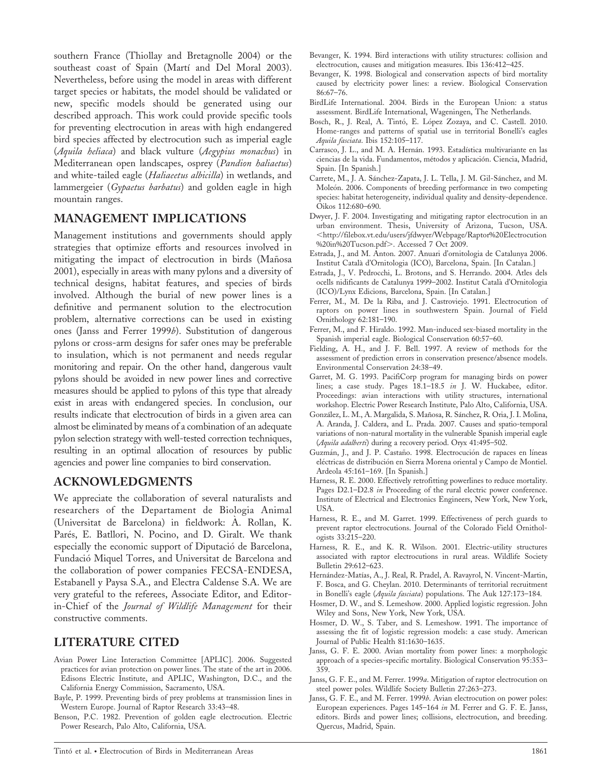southern France (Thiollay and Bretagnolle 2004) or the southeast coast of Spain (Martí and Del Moral 2003). Nevertheless, before using the model in areas with different target species or habitats, the model should be validated or new, specific models should be generated using our described approach. This work could provide specific tools for preventing electrocution in areas with high endangered bird species affected by electrocution such as imperial eagle (Aquila heliaca) and black vulture (Aegypius monachus) in Mediterranean open landscapes, osprey (Pandion haliaetus) and white-tailed eagle (*Haliaeetus albicilla*) in wetlands, and lammergeier (Gypaetus barbatus) and golden eagle in high mountain ranges.

### MANAGEMENT IMPLICATIONS

Management institutions and governments should apply strategies that optimize efforts and resources involved in mitigating the impact of electrocution in birds (Mañosa 2001), especially in areas with many pylons and a diversity of technical designs, habitat features, and species of birds involved. Although the burial of new power lines is a definitive and permanent solution to the electrocution problem, alternative corrections can be used in existing ones (Janss and Ferrer 1999b). Substitution of dangerous pylons or cross-arm designs for safer ones may be preferable to insulation, which is not permanent and needs regular monitoring and repair. On the other hand, dangerous vault pylons should be avoided in new power lines and corrective measures should be applied to pylons of this type that already exist in areas with endangered species. In conclusion, our results indicate that electrocution of birds in a given area can almost be eliminated by means of a combination of an adequate pylon selection strategy with well-tested correction techniques, resulting in an optimal allocation of resources by public agencies and power line companies to bird conservation.

# ACKNOWLEDGMENTS

We appreciate the collaboration of several naturalists and researchers of the Departament de Biologia Animal (Universitat de Barcelona) in fieldwork: A. Rollan, K. Parés, E. Batllori, N. Pocino, and D. Giralt. We thank especially the economic support of Diputació de Barcelona, Fundacio´ Miquel Torres, and Universitat de Barcelona and the collaboration of power companies FECSA-ENDESA, Estabanell y Paysa S.A., and Electra Caldense S.A. We are very grateful to the referees, Associate Editor, and Editorin-Chief of the Journal of Wildlife Management for their constructive comments.

# LITERATURE CITED

- Avian Power Line Interaction Committee [APLIC]. 2006. Suggested practices for avian protection on power lines. The state of the art in 2006. Edisons Electric Institute, and APLIC, Washington, D.C., and the California Energy Commission, Sacramento, USA.
- Bayle, P. 1999. Preventing birds of prey problems at transmission lines in Western Europe. Journal of Raptor Research 33:43–48.
- Benson, P.C. 1982. Prevention of golden eagle electrocution. Electric Power Research, Palo Alto, California, USA.
- Bevanger, K. 1994. Bird interactions with utility structures: collision and electrocution, causes and mitigation measures. Ibis 136:412–425.
- Bevanger, K. 1998. Biological and conservation aspects of bird mortality caused by electricity power lines: a review. Biological Conservation 86:67–76.
- BirdLife International. 2004. Birds in the European Union: a status assessment. BirdLife International, Wageningen, The Netherlands.
- Bosch, R., J. Real, A. Tintó, E. López Zozaya, and C. Castell. 2010. Home-ranges and patterns of spatial use in territorial Bonelli's eagles Aquila fasciata. Ibis 152:105–117.
- Carrasco, J. L., and M. A. Hernán. 1993. Estadística multivariante en las ciencias de la vida. Fundamentos, métodos y aplicación. Ciencia, Madrid, Spain. [In Spanish.]
- Carrete, M., J. A. Sánchez-Zapata, J. L. Tella, J. M. Gil-Sánchez, and M. Moleón. 2006. Components of breeding performance in two competing species: habitat heterogeneity, individual quality and density-dependence. Oikos 112:680–690.
- Dwyer, J. F. 2004. Investigating and mitigating raptor electrocution in an urban environment. Thesis, University of Arizona, Tucson, USA. ,http://filebox.vt.edu/users/jfdwyer/Webpage/Raptor%20Electrocution %20in%20Tucson.pdf>. Accessed 7 Oct 2009.
- Estrada, J., and M. Anton. 2007. Anuari d'ornitologia de Catalunya 2006. Institut Catala` d'Ornitologia (ICO), Barcelona, Spain. [In Catalan.]
- Estrada, J., V. Pedrocchi, L. Brotons, and S. Herrando. 2004. Atles dels ocells nidificants de Catalunya 1999–2002. Institut Catala` d'Ornitologia (ICO)/Lynx Edicions, Barcelona, Spain. [In Catalan.]
- Ferrer, M., M. De la Riba, and J. Castroviejo. 1991. Electrocution of raptors on power lines in southwestern Spain. Journal of Field Ornithology 62:181–190.
- Ferrer, M., and F. Hiraldo. 1992. Man-induced sex-biased mortality in the Spanish imperial eagle. Biological Conservation 60:57–60.
- Fielding, A. H., and J. F. Bell. 1997. A review of methods for the assessment of prediction errors in conservation presence/absence models. Environmental Conservation 24:38–49.
- Garret, M. G. 1993. PacifiCorp program for managing birds on power lines; a case study. Pages 18.1–18.5 in J. W. Huckabee, editor. Proceedings: avian interactions with utility structures, international workshop. Electric Power Research Institute, Palo Alto, California, USA.
- González, L. M., A. Margalida, S. Mañosa, R. Sánchez, R. Oria, J. I. Molina, A. Aranda, J. Caldera, and L. Prada. 2007. Causes and spatio-temporal variations of non-natural mortality in the vulnerable Spanish imperial eagle (Aquila adalberti) during a recovery period. Oryx 41:495–502.
- Guzmán, J., and J. P. Castaño. 1998. Electrocución de rapaces en líneas eléctricas de distribución en Sierra Morena oriental y Campo de Montiel. Ardeola 45:161–169. [In Spanish.]
- Harness, R. E. 2000. Effectively retrofitting powerlines to reduce mortality. Pages D2.1-D2.8 in Proceeding of the rural electric power conference. Institute of Electrical and Electronics Engineers, New York, New York, USA.
- Harness, R. E., and M. Garret. 1999. Effectiveness of perch guards to prevent raptor electrocutions. Journal of the Colorado Field Ornithologists 33:215–220.
- Harness, R. E., and K. R. Wilson. 2001. Electric-utility structures associated with raptor electrocutions in rural areas. Wildlife Society Bulletin 29:612–623.
- Hernández-Matías, A., J. Real, R. Pradel, A. Ravayrol, N. Vincent-Martin, F. Bosca, and G. Cheylan. 2010. Determinants of territorial recruitment in Bonelli's eagle (Aquila fasciata) populations. The Auk 127:173-184.
- Hosmer, D. W., and S. Lemeshow. 2000. Applied logistic regression. John Wiley and Sons, New York, New York, USA.
- Hosmer, D. W., S. Taber, and S. Lemeshow. 1991. The importance of assessing the fit of logistic regression models: a case study. American Journal of Public Health 81:1630–1635.
- Janss, G. F. E. 2000. Avian mortality from power lines: a morphologic approach of a species-specific mortality. Biological Conservation 95:353– 359.
- Janss, G. F. E., and M. Ferrer. 1999a. Mitigation of raptor electrocution on steel power poles. Wildlife Society Bulletin 27:263–273.
- Janss, G. F. E., and M. Ferrer. 1999b. Avian electrocution on power poles: European experiences. Pages 145–164 in M. Ferrer and G. F. E. Janss, editors. Birds and power lines; collisions, electrocution, and breeding. Quercus, Madrid, Spain.